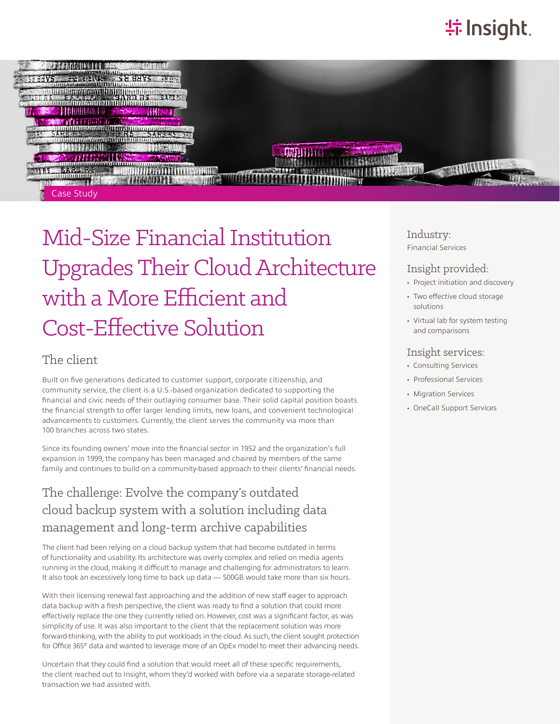# **特Insight**



# Mid-Size Financial Institution Upgrades Their Cloud Architecture with a More Efficient and Cost-Effective Solution

### The client

Built on five generations dedicated to customer support, corporate citizenship, and community service, the client is a U.S.-based organization dedicated to supporting the financial and civic needs of their outlaying consumer base. Their solid capital position boasts the financial strength to offer larger lending limits, new loans, and convenient technological advancements to customers. Currently, the client serves the community via more than 100 branches across two states.

Since its founding owners' move into the financial sector in 1952 and the organization's full expansion in 1999, the company has been managed and chaired by members of the same family and continues to build on a community-based approach to their clients' financial needs.

### The challenge: Evolve the company's outdated cloud backup system with a solution including data management and long-term archive capabilities

The client had been relying on a cloud backup system that had become outdated in terms of functionality and usability. Its architecture was overly complex and relied on media agents running in the cloud, making it difficult to manage and challenging for administrators to learn. It also took an excessively long time to back up data - 500GB would take more than six hours.

With their licensing renewal fast approaching and the addition of new staff eager to approach data backup with a fresh perspective, the client was ready to find a solution that could more effectively replace the one they currently relied on. However, cost was a significant factor, as was simplicity of use. It was also important to the client that the replacement solution was more forward-thinking, with the ability to put workloads in the cloud. As such, the client sought protection for Office 365® data and wanted to leverage more of an OpEx model to meet their advancing needs.

Uncertain that they could find a solution that would meet all of these specific requirements, the client reached out to Insight, whom they'd worked with before via a separate storage-related transaction we had assisted with.

Industry: Financial Services

#### Insight provided:

- Project initiation and discovery
- Two effective cloud storage solutions
- Virtual lab for system testing and comparisons

#### Insight services:

- Consulting Services
- Professional Services
- Migration Services
- OneCall Support Services